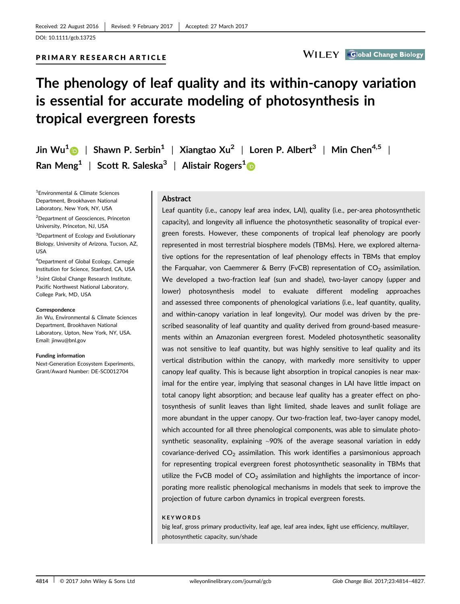PRIMARY RESEARCH ARTICLE

**Global Change Biology** 

# The phenology of leaf quality and its within-canopy variation is essential for accurate modeling of photosynthesis in tropical evergreen forests

Jin Wu<sup>1</sup> | Shawn P. Serbin<sup>1</sup> | Xiangtao Xu<sup>2</sup> | Loren P. Albert<sup>3</sup> | Min Chen<sup>4,5</sup> | Ran Meng<sup>1</sup> | Scott R. Saleska<sup>3</sup> | Alistair Rogers<sup>1</sup>

1 Environmental & Climate Sciences Department, Brookhaven National Laboratory, New York, NY, USA

2 Department of Geosciences, Princeton University, Princeton, NJ, USA

<sup>3</sup>Department of Ecology and Evolutionary Biology, University of Arizona, Tucson, AZ, USA

4 Department of Global Ecology, Carnegie Institution for Science, Stanford, CA, USA

5 Joint Global Change Research Institute, Pacific Northwest National Laboratory, College Park, MD, USA

#### **Correspondence**

Jin Wu, Environmental & Climate Sciences Department, Brookhaven National Laboratory, Upton, New York, NY, USA. Email: jinwu@bnl.gov

Funding information

Next-Generation Ecosystem Experiments, Grant/Award Number: DE-SC0012704

### Abstract

Leaf quantity (i.e., canopy leaf area index, LAI), quality (i.e., per-area photosynthetic capacity), and longevity all influence the photosynthetic seasonality of tropical evergreen forests. However, these components of tropical leaf phenology are poorly represented in most terrestrial biosphere models (TBMs). Here, we explored alternative options for the representation of leaf phenology effects in TBMs that employ the Farquahar, von Caemmerer & Berry (FvCB) representation of  $CO<sub>2</sub>$  assimilation. We developed a two-fraction leaf (sun and shade), two-layer canopy (upper and lower) photosynthesis model to evaluate different modeling approaches and assessed three components of phenological variations (i.e., leaf quantity, quality, and within-canopy variation in leaf longevity). Our model was driven by the prescribed seasonality of leaf quantity and quality derived from ground-based measurements within an Amazonian evergreen forest. Modeled photosynthetic seasonality was not sensitive to leaf quantity, but was highly sensitive to leaf quality and its vertical distribution within the canopy, with markedly more sensitivity to upper canopy leaf quality. This is because light absorption in tropical canopies is near maximal for the entire year, implying that seasonal changes in LAI have little impact on total canopy light absorption; and because leaf quality has a greater effect on photosynthesis of sunlit leaves than light limited, shade leaves and sunlit foliage are more abundant in the upper canopy. Our two-fraction leaf, two-layer canopy model, which accounted for all three phenological components, was able to simulate photosynthetic seasonality, explaining ~90% of the average seasonal variation in eddy covariance-derived  $CO<sub>2</sub>$  assimilation. This work identifies a parsimonious approach for representing tropical evergreen forest photosynthetic seasonality in TBMs that utilize the FvCB model of  $CO<sub>2</sub>$  assimilation and highlights the importance of incorporating more realistic phenological mechanisms in models that seek to improve the projection of future carbon dynamics in tropical evergreen forests.

#### KEYWORDS

big leaf, gross primary productivity, leaf age, leaf area index, light use efficiency, multilayer, photosynthetic capacity, sun/shade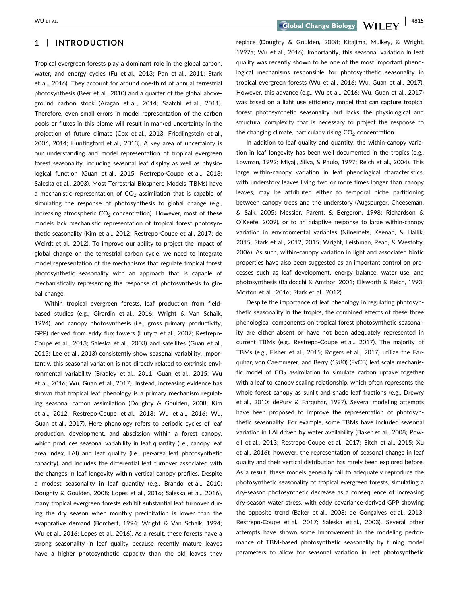# 1 | INTRODUCTION

Tropical evergreen forests play a dominant role in the global carbon, water, and energy cycles (Fu et al., 2013; Pan et al., 2011; Stark et al., 2016). They account for around one-third of annual terrestrial photosynthesis (Beer et al., 2010) and a quarter of the global aboveground carbon stock (Aragão et al., 2014; Saatchi et al., 2011). Therefore, even small errors in model representation of the carbon pools or fluxes in this biome will result in marked uncertainty in the projection of future climate (Cox et al., 2013; Friedlingstein et al., 2006, 2014; Huntingford et al., 2013). A key area of uncertainty is our understanding and model representation of tropical evergreen forest seasonality, including seasonal leaf display as well as physiological function (Guan et al., 2015; Restrepo-Coupe et al., 2013; Saleska et al., 2003). Most Terrestrial Biosphere Models (TBMs) have a mechanistic representation of  $CO<sub>2</sub>$  assimilation that is capable of simulating the response of photosynthesis to global change (e.g., increasing atmospheric  $CO<sub>2</sub>$  concentration). However, most of these models lack mechanistic representation of tropical forest photosynthetic seasonality (Kim et al., 2012; Restrepo-Coupe et al., 2017; de Weirdt et al., 2012). To improve our ability to project the impact of global change on the terrestrial carbon cycle, we need to integrate model representation of the mechanisms that regulate tropical forest photosynthetic seasonality with an approach that is capable of mechanistically representing the response of photosynthesis to global change.

Within tropical evergreen forests, leaf production from fieldbased studies (e.g., Girardin et al., 2016; Wright & Van Schaik, 1994), and canopy photosynthesis (i.e., gross primary productivity, GPP) derived from eddy flux towers (Hutyra et al., 2007; Restrepo-Coupe et al., 2013; Saleska et al., 2003) and satellites (Guan et al., 2015; Lee et al., 2013) consistently show seasonal variability. Importantly, this seasonal variation is not directly related to extrinsic environmental variability (Bradley et al., 2011; Guan et al., 2015; Wu et al., 2016; Wu, Guan et al., 2017). Instead, increasing evidence has shown that tropical leaf phenology is a primary mechanism regulating seasonal carbon assimilation (Doughty & Goulden, 2008; Kim et al., 2012; Restrepo-Coupe et al., 2013; Wu et al., 2016; Wu, Guan et al., 2017). Here phenology refers to periodic cycles of leaf production, development, and abscission within a forest canopy, which produces seasonal variability in leaf quantity (i.e., canopy leaf area index, LAI) and leaf quality (i.e., per-area leaf photosynthetic capacity), and includes the differential leaf turnover associated with the changes in leaf longevity within vertical canopy profiles. Despite a modest seasonality in leaf quantity (e.g., Brando et al., 2010; Doughty & Goulden, 2008; Lopes et al., 2016; Saleska et al., 2016), many tropical evergreen forests exhibit substantial leaf turnover during the dry season when monthly precipitation is lower than the evaporative demand (Borchert, 1994; Wright & Van Schaik, 1994; Wu et al., 2016; Lopes et al., 2016). As a result, these forests have a strong seasonality in leaf quality because recently mature leaves have a higher photosynthetic capacity than the old leaves they

WU ET AL. 4815

replace (Doughty & Goulden, 2008; Kitajima, Mulkey, & Wright, 1997a; Wu et al., 2016). Importantly, this seasonal variation in leaf quality was recently shown to be one of the most important phenological mechanisms responsible for photosynthetic seasonality in tropical evergreen forests (Wu et al., 2016; Wu, Guan et al., 2017). However, this advance (e.g., Wu et al., 2016; Wu, Guan et al., 2017) was based on a light use efficiency model that can capture tropical forest photosynthetic seasonality but lacks the physiological and structural complexity that is necessary to project the response to the changing climate, particularly rising  $CO<sub>2</sub>$  concentration.

In addition to leaf quality and quantity, the within-canopy variation in leaf longevity has been well documented in the tropics (e.g., Lowman, 1992; Miyaji, Silva, & Paulo, 1997; Reich et al., 2004). This large within-canopy variation in leaf phenological characteristics, with understory leaves living two or more times longer than canopy leaves, may be attributed either to temporal niche partitioning between canopy trees and the understory (Augspurger, Cheeseman, & Salk, 2005; Messier, Parent, & Bergeron, 1998; Richardson & O'Keefe, 2009), or to an adaptive response to large within-canopy variation in environmental variables (Niinemets, Keenan, & Hallik, 2015; Stark et al., 2012, 2015; Wright, Leishman, Read, & Westoby, 2006). As such, within-canopy variation in light and associated biotic properties have also been suggested as an important control on processes such as leaf development, energy balance, water use, and photosynthesis (Baldocchi & Amthor, 2001; Ellsworth & Reich, 1993; Morton et al., 2016; Stark et al., 2012).

Despite the importance of leaf phenology in regulating photosynthetic seasonality in the tropics, the combined effects of these three phenological components on tropical forest photosynthetic seasonality are either absent or have not been adequately represented in current TBMs (e.g., Restrepo-Coupe et al., 2017). The majority of TBMs (e.g., Fisher et al., 2015; Rogers et al., 2017) utilize the Farquhar, von Caemmerer, and Berry (1980) (FvCB) leaf scale mechanistic model of  $CO<sub>2</sub>$  assimilation to simulate carbon uptake together with a leaf to canopy scaling relationship, which often represents the whole forest canopy as sunlit and shade leaf fractions (e.g., Drewry et al., 2010; dePury & Farquhar, 1997). Several modeling attempts have been proposed to improve the representation of photosynthetic seasonality. For example, some TBMs have included seasonal variation in LAI driven by water availability (Baker et al., 2008; Powell et al., 2013; Restrepo-Coupe et al., 2017; Sitch et al., 2015; Xu et al., 2016); however, the representation of seasonal change in leaf quality and their vertical distribution has rarely been explored before. As a result, these models generally fail to adequately reproduce the photosynthetic seasonality of tropical evergreen forests, simulating a dry-season photosynthetic decrease as a consequence of increasing dry-season water stress, with eddy covariance-derived GPP showing the opposite trend (Baker et al., 2008; de Goncalves et al., 2013; Restrepo-Coupe et al., 2017; Saleska et al., 2003). Several other attempts have shown some improvement in the modeling performance of TBM-based photosynthetic seasonality by tuning model parameters to allow for seasonal variation in leaf photosynthetic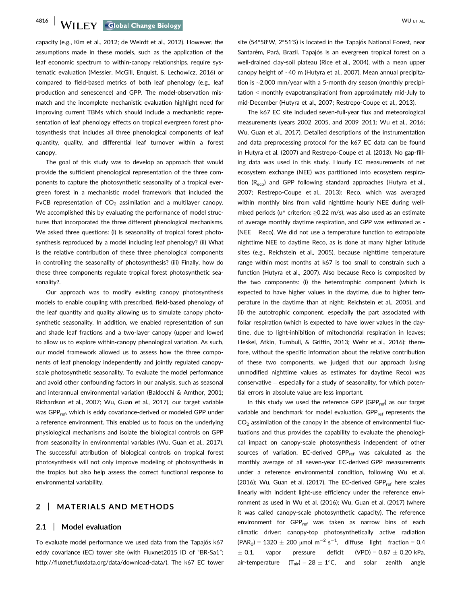4816 WILEY Global Change Biology **Construction Construction Construction** WU ET AL.

capacity (e.g., Kim et al., 2012; de Weirdt et al., 2012). However, the assumptions made in these models, such as the application of the leaf economic spectrum to within-canopy relationships, require systematic evaluation (Messier, McGill, Enquist, & Lechowicz, 2016) or compared to field-based metrics of both leaf phenology (e.g., leaf production and senescence) and GPP. The model-observation mismatch and the incomplete mechanistic evaluation highlight need for improving current TBMs which should include a mechanistic representation of leaf phenology effects on tropical evergreen forest photosynthesis that includes all three phenological components of leaf quantity, quality, and differential leaf turnover within a forest canopy.

The goal of this study was to develop an approach that would provide the sufficient phenological representation of the three components to capture the photosynthetic seasonality of a tropical evergreen forest in a mechanistic model framework that included the FvCB representation of  $CO<sub>2</sub>$  assimilation and a multilayer canopy. We accomplished this by evaluating the performance of model structures that incorporated the three different phenological mechanisms. We asked three questions: (i) Is seasonality of tropical forest photosynthesis reproduced by a model including leaf phenology? (ii) What is the relative contribution of these three phenological components in controlling the seasonality of photosynthesis? (iii) Finally, how do these three components regulate tropical forest photosynthetic seasonality?.

Our approach was to modify existing canopy photosynthesis models to enable coupling with prescribed, field-based phenology of the leaf quantity and quality allowing us to simulate canopy photosynthetic seasonality. In addition, we enabled representation of sun and shade leaf fractions and a two-layer canopy (upper and lower) to allow us to explore within-canopy phenological variation. As such, our model framework allowed us to assess how the three components of leaf phenology independently and jointly regulated canopyscale photosynthetic seasonality. To evaluate the model performance and avoid other confounding factors in our analysis, such as seasonal and interannual environmental variation (Baldocchi & Amthor, 2001; Richardson et al., 2007; Wu, Guan et al., 2017), our target variable was GPP<sub>ref</sub>, which is eddy covariance-derived or modeled GPP under a reference environment. This enabled us to focus on the underlying physiological mechanisms and isolate the biological controls on GPP from seasonality in environmental variables (Wu, Guan et al., 2017). The successful attribution of biological controls on tropical forest photosynthesis will not only improve modeling of photosynthesis in the tropics but also help assess the correct functional response to environmental variability.

## 2 | MATERIALS AND METHODS

#### 2.1 | Model evaluation

To evaluate model performance we used data from the Tapajós k67 eddy covariance (EC) tower site (with Fluxnet2015 ID of "BR-Sa1"; [http://fluxnet.fluxdata.org/data/download-data/\)](http://fluxnet.fluxdata.org/data/download-data/). The k67 EC tower

site (54 $\degree$ 58′W, 2 $\degree$ 51′S) is located in the Tapajós National Forest, near Santarém, Pará, Brazil. Tapajós is an evergreen tropical forest on a well-drained clay-soil plateau (Rice et al., 2004), with a mean upper canopy height of ~40 m (Hutyra et al., 2007). Mean annual precipitation is ~2,000 mm/year with a 5-month dry season (monthly precipitation < monthly evapotranspiration) from approximately mid-July to mid-December (Hutyra et al., 2007; Restrepo-Coupe et al., 2013).

The k67 EC site included seven-full-year flux and meteorological measurements (years 2002–2005, and 2009–2011; Wu et al., 2016; Wu, Guan et al., 2017). Detailed descriptions of the instrumentation and data preprocessing protocol for the k67 EC data can be found in Hutyra et al. (2007) and Restrepo-Coupe et al. (2013). No gap-filling data was used in this study. Hourly EC measurements of net ecosystem exchange (NEE) was partitioned into ecosystem respiration (R<sub>eco</sub>) and GPP following standard approaches (Hutyra et al., 2007; Restrepo-Coupe et al., 2013): Reco, which was averaged within monthly bins from valid nighttime hourly NEE during wellmixed periods (u\* criterion: ≥0.22 m/s), was also used as an estimate of average monthly daytime respiration, and GPP was estimated as - (NEE – Reco). We did not use a temperature function to extrapolate nighttime NEE to daytime Reco, as is done at many higher latitude sites (e.g., Reichstein et al., 2005), because nighttime temperature range within most months at k67 is too small to constrain such a function (Hutyra et al., 2007). Also because Reco is composited by the two components: (i) the heterotrophic component (which is expected to have higher values in the daytime, due to higher temperature in the daytime than at night; Reichstein et al., 2005), and (ii) the autotrophic component, especially the part associated with foliar respiration (which is expected to have lower values in the daytime, due to light-inhibition of mitochondrial respiration in leaves; Heskel, Atkin, Turnbull, & Griffin, 2013; Wehr et al., 2016); therefore, without the specific information about the relative contribution of these two components, we judged that our approach (using unmodified nighttime values as estimates for daytime Reco) was conservative – especially for a study of seasonality, for which potential errors in absolute value are less important.

In this study we used the reference GPP (GPP<sub>ref</sub>) as our target variable and benchmark for model evaluation. GPP<sub>ref</sub> represents the  $CO<sub>2</sub>$  assimilation of the canopy in the absence of environmental fluctuations and thus provides the capability to evaluate the phenological impact on canopy-scale photosynthesis independent of other sources of variation. EC-derived GPP $_{ref}$  was calculated as the monthly average of all seven-year EC-derived GPP measurements under a reference environmental condition, following Wu et al. (2016); Wu, Guan et al. (2017). The EC-derived GPP<sub>ref</sub> here scales linearly with incident light-use efficiency under the reference environment as used in Wu et al. (2016); Wu, Guan et al. (2017) (where it was called canopy-scale photosynthetic capacity). The reference environment for GPP<sub>ref</sub> was taken as narrow bins of each climatic driver: canopy-top photosynthetically active radiation  $(PAR<sub>0</sub>) = 1320 \pm 200 \mu$ mol m<sup>-2</sup> s<sup>-1</sup>, diffuse light fraction = 0.4  $\pm$  0.1.  $\pm$  0.1, vapor pressure deficit (VPD) = 0.87  $\pm$  0.20 kPa, air-temperature  $(T_{air}) = 28 \pm 1$ °C, and solar zenith angle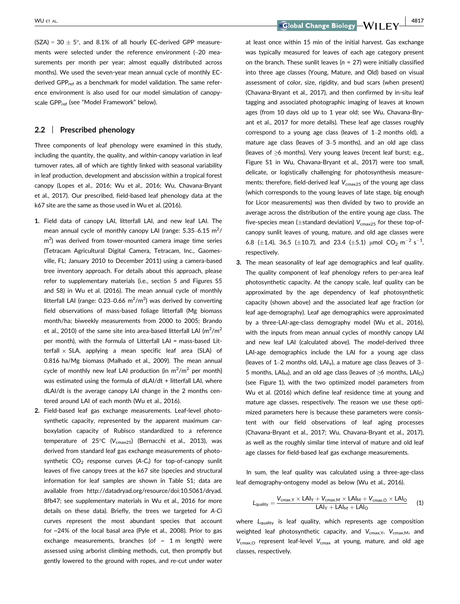WU ET AL. 4817

(SZA) = 30  $\pm$  5°, and 8.1% of all hourly EC-derived GPP measurements were selected under the reference environment (~20 measurements per month per year; almost equally distributed across months). We used the seven-year mean annual cycle of monthly ECderived GPP<sub>ref</sub> as a benchmark for model validation. The same reference environment is also used for our model simulation of canopyscale GPP<sub>ref</sub> (see "Model Framework" below).

## 2.2 | Prescribed phenology

Three components of leaf phenology were examined in this study, including the quantity, the quality, and within-canopy variation in leaf turnover rates, all of which are tightly linked with seasonal variability in leaf production, development and abscission within a tropical forest canopy (Lopes et al., 2016; Wu et al., 2016; Wu, Chavana-Bryant et al., 2017). Our prescribed, field-based leaf phenology data at the k67 site are the same as those used in Wu et al. (2016).

- 1. Field data of canopy LAI, litterfall LAI, and new leaf LAI. The mean annual cycle of monthly canopy LAI (range:  $5.35 - 6.15$  m<sup>2</sup>/ m<sup>2</sup>) was derived from tower-mounted camera image time series (Tetracam Agricultural Digital Camera, Tetracam, Inc., Gaomesville, FL; January 2010 to December 2011) using a camera-based tree inventory approach. For details about this approach, please refer to supplementary materials (i.e., section 5 and Figures S5 and S8) in Wu et al. (2016). The mean annual cycle of monthly litterfall LAI (range: 0.23–0.66  $m^2/m^2$ ) was derived by converting field observations of mass-based foliage litterfall (Mg biomass month/ha; biweekly measurements from 2000 to 2005; Brando et al., 2010) of the same site into area-based litterfall LAI (m<sup>2</sup>/m<sup>2</sup> per month), with the formula of Litterfall LAI = mass-based Litterfall  $\times$  SLA, applying a mean specific leaf area (SLA) of 0.816 ha/Mg biomass (Malhado et al., 2009). The mean annual cycle of monthly new leaf LAI production (in  $m^2/m^2$  per month) was estimated using the formula of dLAI/dt + litterfall LAI, where dLAI/dt is the average canopy LAI change in the 2 months centered around LAI of each month (Wu et al., 2016).
- 2. Field-based leaf gas exchange measurements. Leaf-level photosynthetic capacity, represented by the apparent maximum carboxylation capacity of Rubisco standardized to a reference temperature of 25°C ( $V_{\text{cmax25}}$ ) (Bernacchi et al., 2013), was derived from standard leaf gas exchange measurements of photosynthetic  $\mathsf{CO}_2$  response curves (A-C<sub>i</sub>) for top-of-canopy sunlit leaves of five canopy trees at the k67 site (species and structural information for leaf samples are shown in Table S1; data are available from [http://datadryad.org/resource/doi:10.5061/dryad.](http://datadryad.org/resource/doi:10.5061/dryad.8fb47) [8fb47;](http://datadryad.org/resource/doi:10.5061/dryad.8fb47) see supplementary materials in Wu et al., 2016 for more details on these data). Briefly, the trees we targeted for A-Ci curves represent the most abundant species that account for ~24% of the local basal area (Pyle et al., 2008). Prior to gas exchange measurements, branches (of  $\sim$  1 m length) were assessed using arborist climbing methods, cut, then promptly but gently lowered to the ground with ropes, and re-cut under water

at least once within 15 min of the initial harvest. Gas exchange was typically measured for leaves of each age category present on the branch. These sunlit leaves ( $n = 27$ ) were initially classified into three age classes (Young, Mature, and Old) based on visual assessment of color, size, rigidity, and bud scars (when present) (Chavana-Bryant et al., 2017), and then confirmed by in-situ leaf tagging and associated photographic imaging of leaves at known ages (from 10 days old up to 1 year old; see Wu, Chavana-Bryant et al., 2017 for more details). These leaf age classes roughly correspond to a young age class (leaves of 1–2 months old), a mature age class (leaves of 3–5 months), and an old age class (leaves of ≥6 months). Very young leaves (recent leaf burst; e.g., Figure S1 in Wu, Chavana-Bryant et al., 2017) were too small, delicate, or logistically challenging for photosynthesis measurements; therefore, field-derived leaf  $V_{\text{cmax25}}$  of the young age class (which corresponds to the young leaves of late stage, big enough for Licor measurements) was then divided by two to provide an average across the distribution of the entire young age class. The five-species mean ( $\pm$ standard deviation)  $V_{\textrm{cmax25}}$  for these top-ofcanopy sunlit leaves of young, mature, and old age classes were 6.8 ( $\pm$ 1.4), 36.5 ( $\pm$ 10.7), and 23.4 ( $\pm$ 5.1) µmol CO<sub>2</sub> m<sup>-2</sup> s<sup>-1</sup>, respectively.

3. The mean seasonality of leaf age demographics and leaf quality. The quality component of leaf phenology refers to per-area leaf photosynthetic capacity. At the canopy scale, leaf quality can be approximated by the age dependency of leaf photosynthetic capacity (shown above) and the associated leaf age fraction (or leaf age-demography). Leaf age demographics were approximated by a three-LAI-age-class demography model (Wu et al., 2016), with the inputs from mean annual cycles of monthly canopy LAI and new leaf LAI (calculated above). The model-derived three LAI-age demographics include the LAI for a young age class (leaves of 1–2 months old,  $LA|_y$ ), a mature age class (leaves of 3– 5 months, LAI<sub>M</sub>), and an old age class (leaves of  $\geq$ 6 months, LAI<sub>O</sub>) (see Figure 1), with the two optimized model parameters from Wu et al. (2016) which define leaf residence time at young and mature age classes, respectively. The reason we use these optimized parameters here is because these parameters were consistent with our field observations of leaf aging processes (Chavana-Bryant et al., 2017; Wu, Chavana-Bryant et al., 2017), as well as the roughly similar time interval of mature and old leaf age classes for field-based leaf gas exchange measurements.

In sum, the leaf quality was calculated using a three-age-class leaf demography-ontogeny model as below (Wu et al., 2016).

$$
L_{quality} = \frac{V_{cmax,Y} \times LAI_Y + V_{cmax,M} \times LAI_M + V_{cmax,O} \times LAI_O}{LAI_Y + LAI_M + LAI_O} \qquad (1)
$$

where  $L_{\text{quality}}$  is leaf quality, which represents age composition weighted leaf photosynthetic capacity, and  $V_{\text{cmax},Y}$ ,  $V_{\text{cmax},M}$ , and  $V_{\text{cmax},O}$  represent leaf-level  $V_{\text{cmax}}$  at young, mature, and old age classes, respectively.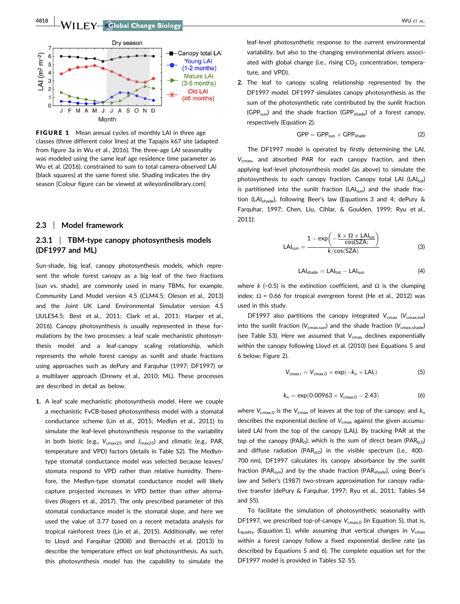

**FIGURE 1** Mean annual cycles of monthly LAI in three age classes (three different color lines) at the Tapajós k67 site (adapted from figure 3a in Wu et al., 2016). The three-age LAI seasonality was modeled using the same leaf age residence time parameter as Wu et al. (2016), constrained to sum to total camera-observed LAI (black squares) at the same forest site. Shading indicates the dry season [Colour figure can be viewed at wileyonlinelibrary.com]

#### 2.3 | Model framework

# 2.3.1 | TBM-type canopy photosynthesis models (DF1997 and ML)

Sun-shade, big leaf, canopy photosynthesis models, which represent the whole forest canopy as a big leaf of the two fractions (sun vs. shade), are commonly used in many TBMs, for example, Community Land Model version 4.5 (CLM4.5; Oleson et al., 2013) and the Joint UK Land Environmental Simulator version 4.5 (JULES4.5; Best et al., 2011; Clark et al., 2011; Harper et al., 2016). Canopy photosynthesis is usually represented in these formulations by the two processes: a leaf scale mechanistic photosynthesis model and a leaf-canopy scaling relationship, which represents the whole forest canopy as sunlit and shade fractions using approaches such as dePury and Farquhar (1997; DF1997) or a multilayer approach (Drewry et al., 2010; ML). These processes are described in detail as below.

1. A leaf scale mechanistic photosynthesis model. Here we couple a mechanistic FvCB-based photosynthesis model with a stomatal conductance scheme (Lin et al., 2015; Medlyn et al., 2011) to simulate the leaf-level photosynthesis response to the variability in both biotic (e.g.,  $V_{\text{cmax25}}$  and  $J_{\text{max25}}$ ) and climatic (e.g., PAR, temperature and VPD) factors (details in Table S2). The Medlyntype stomatal conductance model was selected because leaves/ stomata respond to VPD rather than relative humidity. Therefore, the Medlyn-type stomatal conductance model will likely capture projected increases in VPD better than other alternatives (Rogers et al., 2017). The only prescribed parameter of this stomatal conductance model is the stomatal slope, and here we used the value of 3.77 based on a recent metadata analysis for tropical rainforest trees (Lin et al., 2015). Additionally, we refer to Lloyd and Farquhar (2008) and Bernacchi et al. (2013) to describe the temperature effect on leaf photosynthesis. As such, this photosynthesis model has the capability to simulate the

leaf-level photosynthetic response to the current environmental variability, but also to the changing environmental drivers associated with global change (i.e., rising  $CO<sub>2</sub>$  concentration, temperature, and VPD).

2. The leaf to canopy scaling relationship represented by the DF1997 model. DF1997 simulates canopy photosynthesis as the sum of the photosynthetic rate contributed by the sunlit fraction  $(GPP_{sun})$  and the shade fraction  $(GPP_{shade})$  of a forest canopy, respectively (Equation 2).

$$
GPP = GPP_{sun} + GPP_{shade}
$$
 (2)

The DF1997 model is operated by firstly determining the LAI,  $V_{\text{cmax}}$ , and absorbed PAR for each canopy fraction, and then applying leaf-level photosynthesis model (as above) to simulate the photosynthesis to each canopy fraction. Canopy total LAI  $(LAI<sub>tot</sub>)$ is partitioned into the sunlit fraction  $(LAI_{sun})$  and the shade fraction (LAI<sub>shade</sub>), following Beer's law (Equations 3 and 4; dePury & Farquhar, 1997; Chen, Liu, Cihlar, & Goulden, 1999; Ryu et al., 2011):

$$
LAI_{sun} = \frac{1 - \exp\left(-\frac{k \times \Omega \times LAI_{tot}}{\cos(SZA)}\right)}{k/\cos(SZA)}
$$
(3)

$$
LAI_{\text{shade}} = LAI_{\text{tot}} - LAI_{\text{sun}} \tag{4}
$$

where k (=0.5) is the extinction coefficient, and  $\Omega$  is the clumping index;  $\Omega$  = 0.66 for tropical evergreen forest (He et al., 2012) was used in this study.

DF1997 also partitions the canopy integrated  $V_{\text{cmax}}$  ( $V_{\text{cmax,tot}}$ ) into the sunlit fraction ( $V_{\text{cmax,sun}}$ ) and the shade fraction ( $V_{\text{cmax,shade}}$ ) (see Table S3). Here we assumed that  $V_{\text{cmax}}$  declines exponentially within the canopy following Lloyd et al. (2010) (see Equations 5 and 6 below; Figure 2).

$$
V_{cmax,i} = V_{cmax,0} \times exp(-k_n \times LAI_i)
$$
 (5)

$$
k_n = \exp(0.00963 \times V_{\text{cmax},0} - 2.43) \tag{6}
$$

where  $V_{\text{cmax},0}$  is the  $V_{\text{cmax}}$  of leaves at the top of the canopy; and  $k_n$ describes the exponential decline of  $V_{\text{cmax}}$  against the given accumulated LAI from the top of the canopy (LAI<sub>i</sub>). By tracking PAR at the top of the canopy (PAR<sub>0</sub>), which is the sum of direct beam (PAR<sub>b,0</sub>) and diffuse radiation (PAR $_{d,0}$ ) in the visible spectrum (i.e., 400-700 nm), DF1997 calculates its canopy absorbance by the sunlit fraction (PAR<sub>sun</sub>) and by the shade fraction (PAR<sub>shade</sub>), using Beer's law and Seller's (1987) two-stream approximation for canopy radiative transfer (dePury & Farquhar, 1997; Ryu et al., 2011; Tables S4 and S5).

To facilitate the simulation of photosynthetic seasonality with DF1997, we prescribed top-of-canopy  $V_{\text{cmax},0}$  (in Equation 5), that is,  $L_{\text{quality}}$  (Equation 1), while assuming that vertical changes in  $V_{\text{cmax}}$ within a forest canopy follow a fixed exponential decline rate (as described by Equations 5 and 6). The complete equation set for the DF1997 model is provided in Tables S2–S5.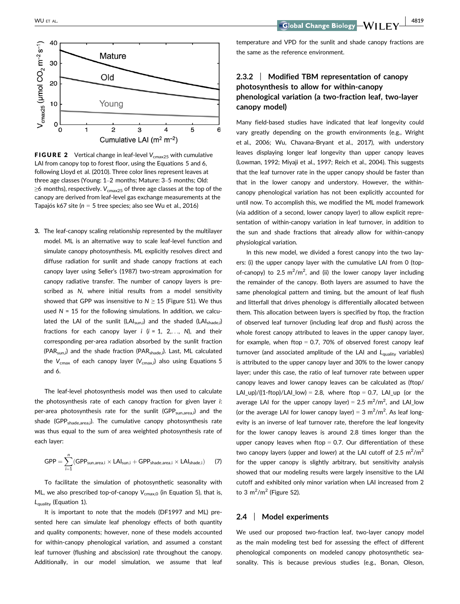

**FIGURE 2** Vertical change in leaf-level  $V_{\text{cmax25}}$  with cumulative LAI from canopy top to forest floor, using the Equations 5 and 6. following Lloyd et al. (2010). Three color lines represent leaves at three age classes (Young: 1–2 months; Mature: 3–5 months; Old:  $\geq$ 6 months), respectively. V<sub>cmax25</sub> of three age classes at the top of the canopy are derived from leaf-level gas exchange measurements at the Tapajós k67 site (n = 5 tree species; also see Wu et al., 2016)

3. The leaf-canopy scaling relationship represented by the multilayer model. ML is an alternative way to scale leaf-level function and simulate canopy photosynthesis. ML explicitly resolves direct and diffuse radiation for sunlit and shade canopy fractions at each canopy layer using Seller's (1987) two-stream approximation for canopy radiative transfer. The number of canopy layers is prescribed as N, where initial results from a model sensitivity showed that GPP was insensitive to  $N \geq 15$  (Figure S1). We thus used  $N = 15$  for the following simulations. In addition, we calculated the LAI of the sunlit (LAI<sub>sun,i</sub>) and the shaded (LAI<sub>shade,i</sub>) fractions for each canopy layer  $i$  ( $i = 1, 2,..., N$ ), and their corresponding per-area radiation absorbed by the sunlit fraction (PAR<sub>sun,i</sub>) and the shade fraction (PAR<sub>shade,i</sub>). Last, ML calculated the  $\rm V_{cmax}$  of each canopy layer ( $\rm V_{cmax,i}$ ) also using Equations 5 and 6.

The leaf-level photosynthesis model was then used to calculate the photosynthesis rate of each canopy fraction for given layer i: per-area photosynthesis rate for the sunlit (GPP<sub>sun,area,i</sub>) and the shade (GPP<sub>shade,area,i</sub>). The cumulative canopy photosynthesis rate was thus equal to the sum of area weighted photosynthesis rate of each layer:

$$
\text{GPP} = \sum_{i=1}^{n} (\text{GPP}_{\text{sun,area},i} \times \text{LAl}_{\text{sun},i} + \text{GPP}_{\text{shade,area},i} \times \text{LAl}_{\text{shade},i}) \hspace{0.5cm} (7)
$$

To facilitate the simulation of photosynthetic seasonality with ML, we also prescribed top-of-canopy  $V_{\text{cmax},0}$  (in Equation 5), that is,  $L_{\text{quality}}$  (Equation 1).

It is important to note that the models (DF1997 and ML) presented here can simulate leaf phenology effects of both quantity and quality components; however, none of these models accounted for within-canopy phenological variation, and assumed a constant leaf turnover (flushing and abscission) rate throughout the canopy. Additionally, in our model simulation, we assume that leaf temperature and VPD for the sunlit and shade canopy fractions are the same as the reference environment.

# 2.3.2 | Modified TBM representation of canopy photosynthesis to allow for within-canopy phenological variation (a two-fraction leaf, two-layer canopy model)

Many field-based studies have indicated that leaf longevity could vary greatly depending on the growth environments (e.g., Wright et al., 2006; Wu, Chavana-Bryant et al., 2017), with understory leaves displaying longer leaf longevity than upper canopy leaves (Lowman, 1992; Miyaji et al., 1997; Reich et al., 2004). This suggests that the leaf turnover rate in the upper canopy should be faster than that in the lower canopy and understory. However, the withincanopy phenological variation has not been explicitly accounted for until now. To accomplish this, we modified the ML model framework (via addition of a second, lower canopy layer) to allow explicit representation of within-canopy variation in leaf turnover, in addition to the sun and shade fractions that already allow for within-canopy physiological variation.

In this new model, we divided a forest canopy into the two layers: (i) the upper canopy layer with the cumulative LAI from 0 (topof-canopy) to 2.5  $m^2/m^2$ , and (ii) the lower canopy layer including the remainder of the canopy. Both layers are assumed to have the same phenological pattern and timing, but the amount of leaf flush and litterfall that drives phenology is differentially allocated between them. This allocation between layers is specified by ftop, the fraction of observed leaf turnover (including leaf drop and flush) across the whole forest canopy attributed to leaves in the upper canopy layer, for example, when ftop  $= 0.7, 70\%$  of observed forest canopy leaf turnover (and associated amplitude of the LAI and  $L_{\text{quality}}$  variables) is attributed to the upper canopy layer and 30% to the lower canopy layer; under this case, the ratio of leaf turnover rate between upper canopy leaves and lower canopy leaves can be calculated as (ftop/ LAI up)/((1-ftop)/LAI low) = 2.8, where ftop = 0.7, LAI up (or the average LAI for the upper canopy layer) =  $2.5 \text{ m}^2/\text{m}^2$ , and LAI\_low (or the average LAI for lower canopy layer) =  $3 \text{ m}^2/\text{m}^2$ . As leaf longevity is an inverse of leaf turnover rate, therefore the leaf longevity for the lower canopy leaves is around 2.8 times longer than the upper canopy leaves when ftop  $= 0.7$ . Our differentiation of these two canopy layers (upper and lower) at the LAI cutoff of 2.5  $m^2/m^2$ for the upper canopy is slightly arbitrary, but sensitivity analysis showed that our modeling results were largely insensitive to the LAI cutoff and exhibited only minor variation when LAI increased from 2 to 3  $m^2/m^2$  (Figure S2).

#### 2.4 | Model experiments

We used our proposed two-fraction leaf, two-layer canopy model as the main modeling test bed for assessing the effect of different phenological components on modeled canopy photosynthetic seasonality. This is because previous studies (e.g., Bonan, Oleson,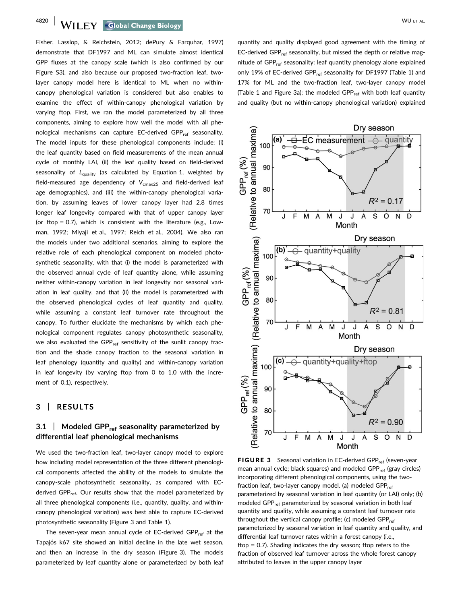**4820 WILLOW GROUND CONTROL CONTROL** 

Fisher, Lasslop, & Reichstein, 2012; dePury & Farquhar, 1997) demonstrate that DF1997 and ML can simulate almost identical GPP fluxes at the canopy scale (which is also confirmed by our Figure S3), and also because our proposed two-fraction leaf, twolayer canopy model here is identical to ML when no withincanopy phenological variation is considered but also enables to examine the effect of within-canopy phenological variation by varying ftop. First, we ran the model parameterized by all three components, aiming to explore how well the model with all phenological mechanisms can capture EC-derived GPP<sub>ref</sub> seasonality. The model inputs for these phenological components include: (i) the leaf quantity based on field measurements of the mean annual cycle of monthly LAI, (ii) the leaf quality based on field-derived seasonality of  $L_{\text{quality}}$  (as calculated by Equation 1, weighted by field-measured age dependency of  $V_{\text{cmax25}}$  and field-derived leaf age demographics), and (iii) the within-canopy phenological variation, by assuming leaves of lower canopy layer had 2.8 times longer leaf longevity compared with that of upper canopy layer (or ftop = 0.7), which is consistent with the literature (e.g., Lowman, 1992; Miyaji et al., 1997; Reich et al., 2004). We also ran the models under two additional scenarios, aiming to explore the relative role of each phenological component on modeled photosynthetic seasonality, with that (i) the model is parameterized with the observed annual cycle of leaf quantity alone, while assuming neither within-canopy variation in leaf longevity nor seasonal variation in leaf quality, and that (ii) the model is parameterized with the observed phenological cycles of leaf quantity and quality, while assuming a constant leaf turnover rate throughout the canopy. To further elucidate the mechanisms by which each phenological component regulates canopy photosynthetic seasonality, we also evaluated the GPP<sub>ref</sub> sensitivity of the sunlit canopy fraction and the shade canopy fraction to the seasonal variation in leaf phenology (quantity and quality) and within-canopy variation in leaf longevity (by varying ftop from 0 to 1.0 with the increment of 0.1), respectively.

## 3 | RESULTS

# 3.1 | Modeled GPP<sub>ref</sub> seasonality parameterized by differential leaf phenological mechanisms

We used the two-fraction leaf, two-layer canopy model to explore how including model representation of the three different phenological components affected the ability of the models to simulate the canopy-scale photosynthetic seasonality, as compared with ECderived GPP<sub>ref</sub>. Our results show that the model parameterized by all three phenological components (i.e., quantity, quality, and withincanopy phenological variation) was best able to capture EC-derived photosynthetic seasonality (Figure 3 and Table 1).

The seven-year mean annual cycle of EC-derived GPP $_{ref}$  at the Tapajós k67 site showed an initial decline in the late wet season, and then an increase in the dry season (Figure 3). The models parameterized by leaf quantity alone or parameterized by both leaf quantity and quality displayed good agreement with the timing of EC-derived GPP<sub>ref</sub> seasonality, but missed the depth or relative magnitude of GPP<sub>ref</sub> seasonality: leaf quantity phenology alone explained only 19% of EC-derived GPP<sub>ref</sub> seasonality for DF1997 (Table 1) and 17% for ML and the two-fraction leaf, two-layer canopy model (Table 1 and Figure 3a); the modeled GPP<sub>ref</sub> with both leaf quantity and quality (but no within-canopy phenological variation) explained



FIGURE 3 Seasonal variation in EC-derived GPP<sub>ref</sub> (seven-year mean annual cycle; black squares) and modeled GPP<sub>ref</sub> (gray circles) incorporating different phenological components, using the twofraction leaf, two-layer canopy model. (a) modeled  $GPP_{ref}$ parameterized by seasonal variation in leaf quantity (or LAI) only; (b) modeled GPP<sub>ref</sub> parameterized by seasonal variation in both leaf quantity and quality, while assuming a constant leaf turnover rate throughout the vertical canopy profile; (c) modeled  $GPP_{ref}$ parameterized by seasonal variation in leaf quantity and quality, and differential leaf turnover rates within a forest canopy (i.e., ftop = 0.7). Shading indicates the dry season; ftop refers to the fraction of observed leaf turnover across the whole forest canopy attributed to leaves in the upper canopy layer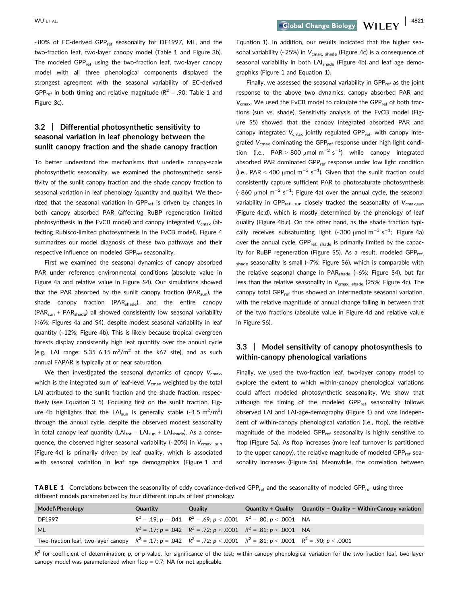~80% of EC-derived GPP<sub>ref</sub> seasonality for DF1997, ML, and the two-fraction leaf, two-layer canopy model (Table 1 and Figure 3b). The modeled GPP<sub>ref</sub> using the two-fraction leaf, two-layer canopy model with all three phenological components displayed the strongest agreement with the seasonal variability of EC-derived GPP<sub>ref</sub> in both timing and relative magnitude ( $R^2$  = .90; Table 1 and Figure 3c).

# 3.2 | Differential photosynthetic sensitivity to seasonal variation in leaf phenology between the sunlit canopy fraction and the shade canopy fraction

To better understand the mechanisms that underlie canopy-scale photosynthetic seasonality, we examined the photosynthetic sensitivity of the sunlit canopy fraction and the shade canopy fraction to seasonal variation in leaf phenology (quantity and quality). We theorized that the seasonal variation in  $GPP_{ref}$  is driven by changes in both canopy absorbed PAR (affecting RuBP regeneration limited photosynthesis in the FvCB model) and canopy integrated  $V_{\text{cmax}}$  (affecting Rubisco-limited photosynthesis in the FvCB model). Figure 4 summarizes our model diagnosis of these two pathways and their respective influence on modeled GPP<sub>ref</sub> seasonality.

First we examined the seasonal dynamics of canopy absorbed PAR under reference environmental conditions (absolute value in Figure 4a and relative value in Figure S4). Our simulations showed that the PAR absorbed by the sunlit canopy fraction (PAR<sub>sun</sub>), the shade canopy fraction (PAR<sub>shade</sub>), and the entire canopy  $(PAR<sub>sun</sub> + PAR<sub>shade</sub>)$  all showed consistently low seasonal variability (<6%; Figures 4a and S4), despite modest seasonal variability in leaf quantity (~12%; Figure 4b). This is likely because tropical evergreen forests display consistently high leaf quantity over the annual cycle (e.g., LAI range:  $5.35 - 6.15$   $\text{m}^2/\text{m}^2$  at the k67 site), and as such annual FAPAR is typically at or near saturation.

We then investigated the seasonal dynamics of canopy  $V_{\text{cmax}}$ , which is the integrated sum of leaf-level  $V_{\text{cmax}}$  weighted by the total LAI attributed to the sunlit fraction and the shade fraction, respectively (see Equation 3–5). Focusing first on the sunlit fraction, Figure 4b highlights that the LAI<sub>sun</sub> is generally stable (~1.5  $\mathrm{m}^2/\mathrm{m}^2$ ) through the annual cycle, despite the observed modest seasonality in total canopy leaf quantity ( $LAI_{tot} = LAI_{sun} + LAI_{shade}$ ). As a consequence, the observed higher seasonal variability (~20%) in  $V_{\text{cmax}}$ , sun (Figure 4c) is primarily driven by leaf quality, which is associated with seasonal variation in leaf age demographics (Figure 1 and

WU ET AL. 4821

Equation 1). In addition, our results indicated that the higher seasonal variability (~25%) in  $V_{\text{cmax, shade}}$  (Figure 4c) is a consequence of seasonal variability in both LAI<sub>shade</sub> (Figure 4b) and leaf age demographics (Figure 1 and Equation 1).

Finally, we assessed the seasonal variability in GPP<sub>ref</sub> as the joint response to the above two dynamics: canopy absorbed PAR and  $V_{\text{cmax}}$ . We used the FvCB model to calculate the GPP<sub>ref</sub> of both fractions (sun vs. shade). Sensitivity analysis of the FvCB model (Figure S5) showed that the canopy integrated absorbed PAR and canopy integrated  $V_{\text{cmax}}$  jointly regulated GPP<sub>ref</sub>, with canopy integrated  $V_{\text{cmax}}$  dominating the GPP<sub>ref</sub> response under high light condition (i.e.,  $PAR > 800 \text{ }\mu\text{mol m}^{-2} \text{ s}^{-1}$ ) while canopy integrated absorbed PAR dominated GPP $_{ref}$  response under low light condition (i.e., PAR < 400  $\mu$ mol m<sup>-2</sup> s<sup>-1</sup>). Given that the sunlit fraction could consistently capture sufficient PAR to photosaturate photosynthesis (~860  $\mu$ mol m<sup>-2</sup> s<sup>-1</sup>; Figure 4a) over the annual cycle, the seasonal variability in GPP<sub>ref, sun</sub> closely tracked the seasonality of  $V_{\text{cmax,sun}}$ (Figure 4c,d), which is mostly determined by the phenology of leaf quality (Figure 4b,c). On the other hand, as the shade fraction typically receives subsaturating light  $(\sim]300 \mu$ mol m<sup>-2</sup> s<sup>-1</sup>; Figure 4a) over the annual cycle,  $GPP_{ref, shade}$  is primarily limited by the capacity for RuBP regeneration (Figure S5). As a result, modeled GPP $_{ref.}$  $_{\text{shade}}$  seasonality is small (~7%; Figure S6), which is comparable with the relative seasonal change in PAR<sub>shade</sub> (~6%; Figure S4), but far less than the relative seasonality in  $V_{\text{cmax, shade}}$  (25%; Figure 4c). The canopy total GPP<sub>ref</sub> thus showed an intermediate seasonal variation, with the relative magnitude of annual change falling in between that of the two fractions (absolute value in Figure 4d and relative value in Figure S6).

# 3.3 | Model sensitivity of canopy photosynthesis to within-canopy phenological variations

Finally, we used the two-fraction leaf, two-layer canopy model to explore the extent to which within-canopy phenological variations could affect modeled photosynthetic seasonality. We show that although the timing of the modeled GPP<sub>ref</sub> seasonality follows observed LAI and LAI-age-demography (Figure 1) and was independent of within-canopy phenological variation (i.e., ftop), the relative magnitude of the modeled GPP<sub>ref</sub> seasonality is highly sensitive to ftop (Figure 5a). As ftop increases (more leaf turnover is partitioned to the upper canopy), the relative magnitude of modeled GPP<sub>ref</sub> seasonality increases (Figure 5a). Meanwhile, the correlation between

TABLE 1 Correlations between the seasonality of eddy covariance-derived GPP<sub>ref</sub> and the seasonality of modeled GPP<sub>ref</sub> using three different models parameterized by four different inputs of leaf phenology

| Model\Phenology                                                                                                                            | <b>Quantity</b> | <b>Quality</b> | <b>Quantity + Quality</b>                                                       | Quantity + Quality + Within-Canopy variation |
|--------------------------------------------------------------------------------------------------------------------------------------------|-----------------|----------------|---------------------------------------------------------------------------------|----------------------------------------------|
| DF1997                                                                                                                                     |                 |                | $R^2 = .19$ ; $p = .041$ $R^2 = .69$ ; $p < .0001$ $R^2 = .80$ ; $p < .0001$ NA |                                              |
| ML                                                                                                                                         |                 |                | $R^2 = .17$ ; $p = .042$ $R^2 = .72$ ; $p < .0001$ $R^2 = .81$ ; $p < .0001$ NA |                                              |
| Two-fraction leaf, two-layer canopy $R^2 = .17$ ; $p = .042$ $R^2 = .72$ ; $p < .0001$ $R^2 = .81$ ; $p < .0001$ $R^2 = .90$ ; $p < .0001$ |                 |                |                                                                                 |                                              |

 $R^2$  for coefficient of determination; p, or p-value, for significance of the test; within-canopy phenological variation for the two-fraction leaf, two-layer canopy model was parameterized when ftop  $= 0.7$ ; NA for not applicable.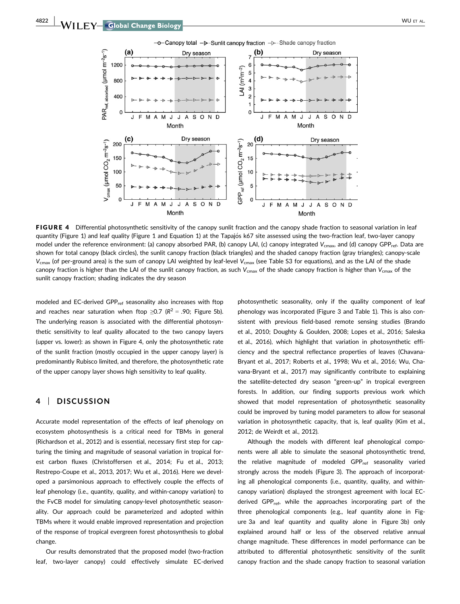

FIGURE 4 Differential photosynthetic sensitivity of the canopy sunlit fraction and the canopy shade fraction to seasonal variation in leaf quantity (Figure 1) and leaf quality (Figure 1 and Equation 1) at the Tapajós k67 site assessed using the two-fraction leaf, two-layer canopy model under the reference environment: (a) canopy absorbed PAR, (b) canopy LAI, (c) canopy integrated  $V_{\text{cmax}}$ , and (d) canopy GPP<sub>ref</sub>. Data are shown for total canopy (black circles), the sunlit canopy fraction (black triangles) and the shaded canopy fraction (gray triangles); canopy-scale  $V_{\text{cmax}}$  (of per-ground area) is the sum of canopy LAI weighted by leaf-level  $V_{\text{cmax}}$  (see Table S3 for equations), and as the LAI of the shade canopy fraction is higher than the LAI of the sunlit canopy fraction, as such  $V_{\text{cmax}}$  of the shade canopy fraction is higher than  $V_{\text{cmax}}$  of the sunlit canopy fraction; shading indicates the dry season

modeled and EC-derived GPP<sub>ref</sub> seasonality also increases with ftop and reaches near saturation when ftop  $\geq 0.7$  ( $R^2 = .90$ ; Figure 5b). The underlying reason is associated with the differential photosynthetic sensitivity to leaf quality allocated to the two canopy layers (upper vs. lower): as shown in Figure 4, only the photosynthetic rate of the sunlit fraction (mostly occupied in the upper canopy layer) is predominantly Rubisco limited, and therefore, the photosynthetic rate of the upper canopy layer shows high sensitivity to leaf quality.

# 4 | DISCUSSION

Accurate model representation of the effects of leaf phenology on ecosystem photosynthesis is a critical need for TBMs in general (Richardson et al., 2012) and is essential, necessary first step for capturing the timing and magnitude of seasonal variation in tropical forest carbon fluxes (Christoffersen et al., 2014; Fu et al., 2013; Restrepo-Coupe et al., 2013, 2017; Wu et al., 2016). Here we developed a parsimonious approach to effectively couple the effects of leaf phenology (i.e., quantity, quality, and within-canopy variation) to the FvCB model for simulating canopy-level photosynthetic seasonality. Our approach could be parameterized and adopted within TBMs where it would enable improved representation and projection of the response of tropical evergreen forest photosynthesis to global change.

Our results demonstrated that the proposed model (two-fraction leaf, two-layer canopy) could effectively simulate EC-derived photosynthetic seasonality, only if the quality component of leaf phenology was incorporated (Figure 3 and Table 1). This is also consistent with previous field-based remote sensing studies (Brando et al., 2010; Doughty & Goulden, 2008; Lopes et al., 2016; Saleska et al., 2016), which highlight that variation in photosynthetic efficiency and the spectral reflectance properties of leaves (Chavana-Bryant et al., 2017; Roberts et al., 1998; Wu et al., 2016; Wu, Chavana-Bryant et al., 2017) may significantly contribute to explaining the satellite-detected dry season "green-up" in tropical evergreen forests. In addition, our finding supports previous work which showed that model representation of photosynthetic seasonality could be improved by tuning model parameters to allow for seasonal variation in photosynthetic capacity, that is, leaf quality (Kim et al., 2012; de Weirdt et al., 2012).

Although the models with different leaf phenological components were all able to simulate the seasonal photosynthetic trend, the relative magnitude of modeled GPP<sub>ref</sub> seasonality varied strongly across the models (Figure 3). The approach of incorporating all phenological components (i.e., quantity, quality, and withincanopy variation) displayed the strongest agreement with local ECderived GPP $_{ref}$ , while the approaches incorporating part of the three phenological components (e.g., leaf quantity alone in Figure 3a and leaf quantity and quality alone in Figure 3b) only explained around half or less of the observed relative annual change magnitude. These differences in model performance can be attributed to differential photosynthetic sensitivity of the sunlit canopy fraction and the shade canopy fraction to seasonal variation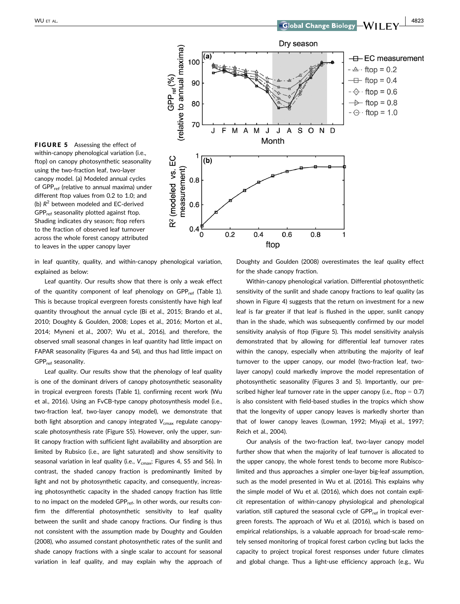

FIGURE 5 Assessing the effect of within-canopy phenological variation (i.e., ftop) on canopy photosynthetic seasonality using the two-fraction leaf, two-layer canopy model. (a) Modeled annual cycles of GPP<sub>ref</sub> (relative to annual maxima) under different ftop values from 0.2 to 1.0; and (b)  $R^2$  between modeled and EC-derived GPPref seasonality plotted against ftop. Shading indicates dry season; ftop refers to the fraction of observed leaf turnover across the whole forest canopy attributed to leaves in the upper canopy layer

in leaf quantity, quality, and within-canopy phenological variation, explained as below:

Leaf quantity. Our results show that there is only a weak effect of the quantity component of leaf phenology on  $GPP_{ref}$  (Table 1). This is because tropical evergreen forests consistently have high leaf quantity throughout the annual cycle (Bi et al., 2015; Brando et al., 2010; Doughty & Goulden, 2008; Lopes et al., 2016; Morton et al., 2014; Myneni et al., 2007; Wu et al., 2016), and therefore, the observed small seasonal changes in leaf quantity had little impact on FAPAR seasonality (Figures 4a and S4), and thus had little impact on GPP<sub>ref</sub> seasonality.

Leaf quality. Our results show that the phenology of leaf quality is one of the dominant drivers of canopy photosynthetic seasonality in tropical evergreen forests (Table 1), confirming recent work (Wu et al., 2016). Using an FvCB-type canopy photosynthesis model (i.e., two-fraction leaf, two-layer canopy model), we demonstrate that both light absorption and canopy integrated  $V_{\text{cmax}}$  regulate canopyscale photosynthesis rate (Figure S5). However, only the upper, sunlit canopy fraction with sufficient light availability and absorption are limited by Rubsico (i.e., are light saturated) and show sensitivity to seasonal variation in leaf quality (i.e.,  $V_{\text{cmax}}$ ; Figures 4, S5 and S6). In contrast, the shaded canopy fraction is predominantly limited by light and not by photosynthetic capacity, and consequently, increasing photosynthetic capacity in the shaded canopy fraction has little to no impact on the modeled GPP<sub>ref</sub>. In other words, our results confirm the differential photosynthetic sensitivity to leaf quality between the sunlit and shade canopy fractions. Our finding is thus not consistent with the assumption made by Doughty and Goulden (2008), who assumed constant photosynthetic rates of the sunlit and shade canopy fractions with a single scalar to account for seasonal variation in leaf quality, and may explain why the approach of Doughty and Goulden (2008) overestimates the leaf quality effect for the shade canopy fraction.

Within-canopy phenological variation. Differential photosynthetic sensitivity of the sunlit and shade canopy fractions to leaf quality (as shown in Figure 4) suggests that the return on investment for a new leaf is far greater if that leaf is flushed in the upper, sunlit canopy than in the shade, which was subsequently confirmed by our model sensitivity analysis of ftop (Figure 5). This model sensitivity analysis demonstrated that by allowing for differential leaf turnover rates within the canopy, especially when attributing the majority of leaf turnover to the upper canopy, our model (two-fraction leaf, twolayer canopy) could markedly improve the model representation of photosynthetic seasonality (Figures 3 and 5). Importantly, our prescribed higher leaf turnover rate in the upper canopy (i.e., ftop  $= 0.7$ ) is also consistent with field-based studies in the tropics which show that the longevity of upper canopy leaves is markedly shorter than that of lower canopy leaves (Lowman, 1992; Miyaji et al., 1997; Reich et al., 2004).

Our analysis of the two-fraction leaf, two-layer canopy model further show that when the majority of leaf turnover is allocated to the upper canopy, the whole forest tends to become more Rubiscolimited and thus approaches a simpler one-layer big-leaf assumption, such as the model presented in Wu et al. (2016). This explains why the simple model of Wu et al. (2016), which does not contain explicit representation of within-canopy physiological and phenological variation, still captured the seasonal cycle of GPP<sub>ref</sub> in tropical evergreen forests. The approach of Wu et al. (2016), which is based on empirical relationships, is a valuable approach for broad-scale remotely sensed monitoring of tropical forest carbon cycling but lacks the capacity to project tropical forest responses under future climates and global change. Thus a light-use efficiency approach (e.g., Wu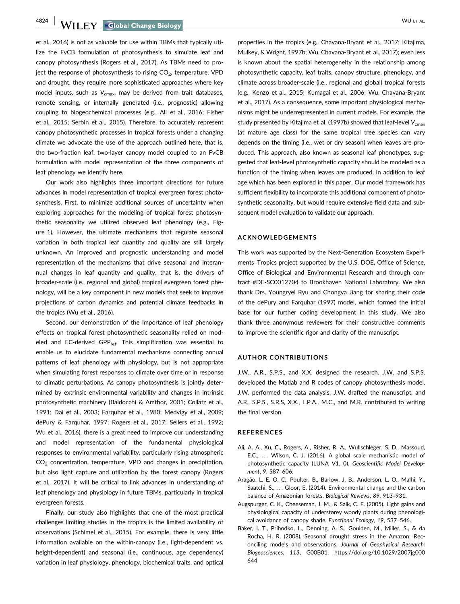4824 WILEY Global Change Biology **Construction Construction** WU ET AL.

et al., 2016) is not as valuable for use within TBMs that typically utilize the FvCB formulation of photosynthesis to simulate leaf and canopy photosynthesis (Rogers et al., 2017). As TBMs need to project the response of photosynthesis to rising  $CO<sub>2</sub>$ , temperature, VPD and drought, they require more sophisticated approaches where key model inputs, such as  $V_{\text{cmax}}$ , may be derived from trait databases, remote sensing, or internally generated (i.e., prognostic) allowing coupling to biogeochemical processes (e.g., Ali et al., 2016; Fisher et al., 2015; Serbin et al., 2015). Therefore, to accurately represent canopy photosynthetic processes in tropical forests under a changing climate we advocate the use of the approach outlined here, that is, the two-fraction leaf, two-layer canopy model coupled to an FvCB formulation with model representation of the three components of leaf phenology we identify here.

Our work also highlights three important directions for future advances in model representation of tropical evergreen forest photosynthesis. First, to minimize additional sources of uncertainty when exploring approaches for the modeling of tropical forest photosynthetic seasonality we utilized observed leaf phenology (e.g., Figure 1). However, the ultimate mechanisms that regulate seasonal variation in both tropical leaf quantity and quality are still largely unknown. An improved and prognostic understanding and model representation of the mechanisms that drive seasonal and interannual changes in leaf quantity and quality, that is, the drivers of broader-scale (i.e., regional and global) tropical evergreen forest phenology, will be a key component in new models that seek to improve projections of carbon dynamics and potential climate feedbacks in the tropics (Wu et al., 2016).

Second, our demonstration of the importance of leaf phenology effects on tropical forest photosynthetic seasonality relied on modeled and EC-derived GPP<sub>ref</sub>. This simplification was essential to enable us to elucidate fundamental mechanisms connecting annual patterns of leaf phenology with physiology, but is not appropriate when simulating forest responses to climate over time or in response to climatic perturbations. As canopy photosynthesis is jointly determined by extrinsic environmental variability and changes in intrinsic photosynthetic machinery (Baldocchi & Amthor, 2001; Collatz et al., 1991; Dai et al., 2003; Farquhar et al., 1980; Medvigy et al., 2009; dePury & Farquhar, 1997; Rogers et al., 2017; Sellers et al., 1992; Wu et al., 2016), there is a great need to improve our understanding and model representation of the fundamental physiological responses to environmental variability, particularly rising atmospheric  $CO<sub>2</sub>$  concentration, temperature, VPD and changes in precipitation, but also light capture and utilization by the forest canopy (Rogers et al., 2017). It will be critical to link advances in understanding of leaf phenology and physiology in future TBMs, particularly in tropical evergreen forests.

Finally, our study also highlights that one of the most practical challenges limiting studies in the tropics is the limited availability of observations (Schimel et al., 2015). For example, there is very little information available on the within-canopy (i.e., light-dependent vs. height-dependent) and seasonal (i.e., continuous, age dependency) variation in leaf physiology, phenology, biochemical traits, and optical properties in the tropics (e.g., Chavana-Bryant et al., 2017; Kitajima, Mulkey, & Wright, 1997b; Wu, Chavana-Bryant et al., 2017); even less is known about the spatial heterogeneity in the relationship among photosynthetic capacity, leaf traits, canopy structure, phenology, and climate across broader-scale (i.e., regional and global) tropical forests (e.g., Kenzo et al., 2015; Kumagai et al., 2006; Wu, Chavana-Bryant et al., 2017). As a consequence, some important physiological mechanisms might be underrepresented in current models. For example, the study presented by Kitajima et al. (1997b) showed that leaf-level  $V_{\rm cmax}$ (at mature age class) for the same tropical tree species can vary depends on the timing (i.e., wet or dry season) when leaves are produced. This approach, also known as seasonal leaf phenotypes, suggested that leaf-level photosynthetic capacity should be modeled as a function of the timing when leaves are produced, in addition to leaf age which has been explored in this paper. Our model framework has sufficient flexibility to incorporate this additional component of photosynthetic seasonality, but would require extensive field data and subsequent model evaluation to validate our approach.

#### ACKNOWLEDGEMENTS

This work was supported by the Next-Generation Ecosystem Experiments–Tropics project supported by the U.S. DOE, Office of Science, Office of Biological and Environmental Research and through contract #DE-SC0012704 to Brookhaven National Laboratory. We also thank Drs. Youngryel Ryu and Chongya Jiang for sharing their code of the dePury and Farquhar (1997) model, which formed the initial base for our further coding development in this study. We also thank three anonymous reviewers for their constructive comments to improve the scientific rigor and clarity of the manuscript.

#### AUTHOR CONTRIBUTIONS

J.W., A.R., S.P.S., and X.X. designed the research. J.W. and S.P.S. developed the Matlab and R codes of canopy photosynthesis model. J.W. performed the data analysis. J.W. drafted the manuscript, and A.R., S.P.S., S.R.S, X.X., L.P.A., M.C., and M.R. contributed to writing the final version.

#### **REFERENCES**

- Ali, A. A., Xu, C., Rogers, A., Risher, R. A., Wullschleger, S. D., Massoud, E.C., ... Wilson, C. J. (2016). A global scale mechanistic model of photosynthetic capacity (LUNA V1. 0). Geoscientific Model Development, 9, 587–606.
- Aragão, L. E. O. C., Poulter, B., Barlow, J. B., Anderson, L. O., Malhi, Y., Saatchi, S., ... Gloor, E. (2014). Environmental change and the carbon balance of Amazonian forests. Biological Reviews, 89, 913–931.
- Augspurger, C. K., Cheeseman, J. M., & Salk, C. F. (2005). Light gains and physiological capacity of understorey woody plants during phenological avoidance of canopy shade. Functional Ecology, 19, 537–546.
- Baker, I. T., Prihodko, L., Denning, A. S., Goulden, M., Miller, S., & da Rocha, H. R. (2008). Seasonal drought stress in the Amazon: Reconciling models and observations. Journal of Geophysical Research: Biogeosciences, 113, G00B01. [https://doi.org/10.1029/2007jg000](https://doi.org/10.1029/2007jg000644) [644](https://doi.org/10.1029/2007jg000644)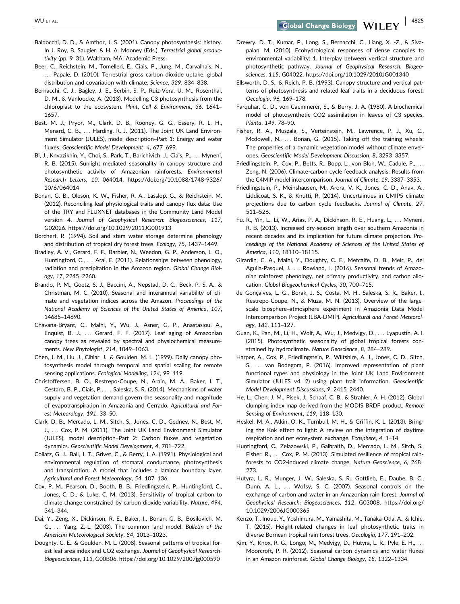WU ET AL. 4825

- Baldocchi, D. D., & Amthor, J. S. (2001). Canopy photosynthesis: history. In J. Roy, B. Saugier, & H. A. Mooney (Eds.), Terrestrial global productivity (pp. 9–31). Waltham, MA: Academic Press.
- Beer, C., Reichstein, M., Tomelleri, E., Ciais, P., Jung, M., Carvalhais, N., ... Papale, D. (2010). Terrestrial gross carbon dioxide uptake: global distribution and covariation with climate. Science, 329, 834–838.
- Bernacchi, C. J., Bagley, J. E., Serbin, S. P., Ruiz-Vera, U. M., Rosenthal, D. M., & Vanloocke, A. (2013). Modelling C3 photosynthesis from the chloroplast to the ecosystem. Plant, Cell & Environment, 36, 1641– 1657.
- Best, M. J., Pryor, M., Clark, D. B., Rooney, G. G., Essery, R. L. H., Menard, C. B., ... Harding, R. J. (2011). The Joint UK Land Environment Simulator (JULES), model description–Part 1: Energy and water fluxes. Geoscientific Model Development, 4, 677–699.
- Bi, J., Knvazikhin, Y., Choi, S., Park, T., Barichivich, J., Ciais, P., ... Myneni, R. B. (2015). Sunlight mediated seasonality in canopy structure and photosynthetic activity of Amazonian rainforests. Environmental Research Letters, 10, 064014. [https://doi.org/10.1088/1748-9326/](https://doi.org/10.1088/1748-9326/10/6/064014) [10/6/064014](https://doi.org/10.1088/1748-9326/10/6/064014)
- Bonan, G. B., Oleson, K. W., Fisher, R. A., Lasslop, G., & Reichstein, M. (2012). Reconciling leaf physiological traits and canopy flux data: Use of the TRY and FLUXNET databases in the Community Land Model version 4. Journal of Geophysical Research: Biogeosciences, 117, G02026.<https://doi.org/10.1029/2011JG001913>
- Borchert, R. (1994). Soil and stem water storage determine phenology and distribution of tropical dry forest trees. Ecology, 75, 1437–1449.
- Bradley, A. V., Gerard, F. F., Barbier, N., Weedon, G. P., Anderson, L. O., Huntingford, C., ... Arai, E. (2011). Relationships between phenology, radiation and precipitation in the Amazon region. Global Change Biology, 17, 2245–2260.
- Brando, P. M., Goetz, S. J., Baccini, A., Nepstad, D. C., Beck, P. S. A., & Christman, M. C. (2010). Seasonal and interannual variability of climate and vegetation indices across the Amazon. Proceedings of the National Academy of Sciences of the United States of America, 107, 14685–14690.
- Chavana-Bryant, C., Malhi, Y., Wu, J., Asner, G. P., Anastasiou, A., Enquist, B. J., ... Gerard, F. F. (2017). Leaf aging of Amazonian canopy trees as revealed by spectral and physiochemical measurements. New Phytologist, 214, 1049–1063.
- Chen, J. M., Liu, J., Cihlar, J., & Goulden, M. L. (1999). Daily canopy photosynthesis model through temporal and spatial scaling for remote sensing applications. Ecological Modelling, 124, 99–119.
- Christoffersen, B. O., Restrepo-Coupe, N., Arain, M. A., Baker, I. T., Cestaro, B. P., Ciais, P., ... Saleska, S. R. (2014). Mechanisms of water supply and vegetation demand govern the seasonality and magnitude of evapotranspiration in Amazonia and Cerrado. Agricultural and Forest Meteorology, 191, 33–50.
- Clark, D. B., Mercado, L. M., Sitch, S., Jones, C. D., Gedney, N., Best, M. J., ... Cox, P. M. (2011). The Joint UK Land Environment Simulator (JULES), model description–Part 2: Carbon fluxes and vegetation dynamics. Geoscientific Model Development, 4, 701–722.
- Collatz, G. J., Ball, J. T., Grivet, C., & Berry, J. A. (1991). Physiological and environmental regulation of stomatal conductance, photosynthesis and transpiration: A model that includes a laminar boundary layer. Agricultural and Forest Meteorology, 54, 107–136.
- Cox, P. M., Pearson, D., Booth, B. B., Friedlingstein, P., Huntingford, C., Jones, C. D., & Luke, C. M. (2013). Sensitivity of tropical carbon to climate change constrained by carbon dioxide variability. Nature, 494, 341–344.
- Dai, Y., Zeng, X., Dickinson, R. E., Baker, I., Bonan, G. B., Bosilovich, M. G., ... Yang, Z.-L. (2003). The common land model. Bulletin of the American Meteorological Society, 84, 1013–1023.
- Doughty, C. E., & Goulden, M. L. (2008). Seasonal patterns of tropical forest leaf area index and CO2 exchange. Journal of Geophysical Research-Biogeosciences, 113, G00B06.<https://doi.org/10.1029/2007jg000590>
- Drewry, D. T., Kumar, P., Long, S., Bernacchi, C., Liang, X. -Z., & Sivapalan, M. (2010). Ecohydrological responses of dense canopies to environmental variability: 1. Interplay between vertical structure and photosynthetic pathway. Journal of Geophysical Research. Biogeosciences, 115, G04022.<https://doi.org/10.1029/2010JG001340>
- Ellsworth, D. S., & Reich, P. B. (1993). Canopy structure and vertical patterns of photosynthesis and related leaf traits in a deciduous forest. Oecologia, 96, 169–178.
- Farquhar, G. D., von Caemmerer, S., & Berry, J. A. (1980). A biochemical model of photosynthetic CO2 assimilation in leaves of C3 species. Planta, 149, 78–90.
- Fisher, R. A., Muszala, S., Verteinstein, M., Lawrence, P. J., Xu, C., Mcdowell, N., ... Bonan, G. (2015). Taking off the training wheels: The properties of a dynamic vegetation model without climate envelopes. Geoscientific Model Development Discussion, 8, 3293–3357.
- Friedlingstein, P., Cox, P., Betts, R., Bopp, L., von Bloh, W., Cadule, P., ... Zeng, N. (2006). Climate-carbon cycle feedback analysis: Results from the C4MIP model intercomparison. Journal of Climate, 19, 3337–3353.
- Friedlingstein, P., Meinshausen, M., Arora, V. K., Jones, C. D., Anav, A., Liddicoat, S. K., & Knutti, R. (2014). Uncertainties in CMIP5 climate projections due to carbon cycle feedbacks. Journal of Climate, 27, 511–526.
- Fu, R., Yin, L., Li, W., Arias, P. A., Dickinson, R. E., Huang, L., ... Myneni, R. B. (2013). Increased dry-season length over southern Amazonia in recent decades and its implication for future climate projection. Proceedings of the National Academy of Sciences of the United States of America, 110, 18110–18115.
- Girardin, C. A., Malhi, Y., Doughty, C. E., Metcalfe, D. B., Meir, P., del Aguila-Pasquel, J., ... Rowland, L. (2016). Seasonal trends of Amazonian rainforest phenology, net primary productivity, and carbon allocation. Global Biogeochemical Cycles, 30, 700–715.
- de Gonçalves, L. G., Borak, J. S., Costa, M. H., Saleska, S. R., Baker, I., Restrepo-Coupe, N., & Muza, M. N. (2013). Overview of the largescale biosphere–atmosphere experiment in Amazonia Data Model Intercomparison Project (LBA-DMIP). Agricultural and Forest Meteorology, 182, 111–127.
- Guan, K., Pan, M., Li, H., Wolf, A., Wu, J., Medvigy, D., ... Lyapustin, A. I. (2015). Photosynthetic seasonality of global tropical forests constrained by hydroclimate. Nature Geoscience, 8, 284–289.
- Harper, A., Cox, P., Friedlingstein, P., Wiltshire, A. J., Jones, C. D., Sitch, S., ... van Bodegom, P. (2016). Improved representation of plant functional types and physiology in the Joint UK Land Environment Simulator (JULES v4. 2) using plant trait information. Geoscientific Model Development Discussions, 9, 2415–2440.
- He, L., Chen, J. M., Pisek, J., Schaaf, C. B., & Strahler, A. H. (2012). Global clumping index map derived from the MODIS BRDF product. Remote Sensing of Environment, 119, 118–130.
- Heskel, M. A., Atkin, O. K., Turnbull, M. H., & Griffin, K. L. (2013). Bringing the Kok effect to light: A review on the integration of daytime respiration and net ecosystem exchange. Ecosphere, 4, 1–14.
- Huntingford, C., Zelazowski, P., Galbraith, D., Mercado, L. M., Sitch, S., Fisher, R., ... Cox, P. M. (2013). Simulated resilience of tropical rainforests to CO2-induced climate change. Nature Geoscience, 6, 268– 273.
- Hutyra, L. R., Munger, J. W., Saleska, S. R., Gottlieb, E., Daube, B. C., Dunn, A. L., ... Wofsy, S. C. (2007). Seasonal controls on the exchange of carbon and water in an Amazonian rain forest. Journal of Geophysical Research: Biogeosciences, 112, G03008. [https://doi.org/](https://doi.org/10.1029/2006JG000365) [10.1029/2006JG000365](https://doi.org/10.1029/2006JG000365)
- Kenzo, T., Inoue, Y., Yoshimura, M., Yamashita, M., Tanaka-Oda, A., & Ichie, T. (2015). Height-related changes in leaf photosynthetic traits in diverse Bornean tropical rain forest trees. Oecologia, 177, 191–202.
- Kim, Y., Knox, R. G., Longo, M., Medvigy, D., Hutyra, L. R., Pyle, E. H., ... Moorcroft, P. R. (2012). Seasonal carbon dynamics and water fluxes in an Amazon rainforest. Global Change Biology, 18, 1322–1334.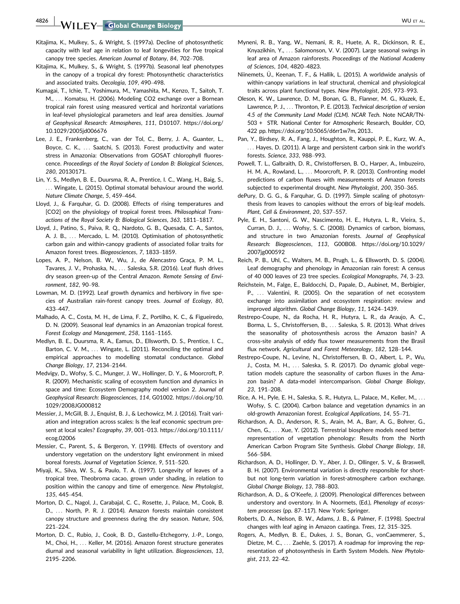4826 WILEY Global Change Biology **Construction Construction** WU ET AL.

- Kitajima, K., Mulkey, S., & Wright, S. (1997a). Decline of photosynthetic capacity with leaf age in relation to leaf longevities for five tropical canopy tree species. American Journal of Botany, 84, 702–708.
- Kitajima, K., Mulkey, S., & Wright, S. (1997b). Seasonal leaf phenotypes in the canopy of a tropical dry forest: Photosynthetic characteristics and associated traits. Oecologia, 109, 490–498.
- Kumagai, T., Ichie, T., Yoshimura, M., Yamashita, M., Kenzo, T., Saitoh, T. M., ... Komatsu, H. (2006). Modeling CO2 exchange over a Bornean tropical rain forest using measured vertical and horizontal variations in leaf-level physiological parameters and leaf area densities. Journal of Geophysical Research: Atmospheres, 111, D10107. [https://doi.org/](https://doi.org/10.1029/2005jd006676) [10.1029/2005jd006676](https://doi.org/10.1029/2005jd006676)
- Lee, J. E., Frankenberg, C., van der Tol, C., Berry, J. A., Guanter, L., Boyce, C. K., ... Saatchi, S. (2013). Forest productivity and water stress in Amazonia: Observations from GOSAT chlorophyll fluorescence. Proceedings of the Royal Society of London B: Biological Sciences, 280, 20130171.
- Lin, Y. S., Medlyn, B. E., Duursma, R. A., Prentice, I. C., Wang, H., Baig, S., ... Wingate, L. (2015). Optimal stomatal behaviour around the world. Nature Climate Change, 5, 459–464.
- Lloyd, J., & Farquhar, G. D. (2008). Effects of rising temperatures and [CO2] on the physiology of tropical forest trees. Philosophical Transactions of the Royal Society B: Biological Sciences, 363, 1811–1817.
- Lloyd, J., Patino, S., Paiva, R. Q., Nardoto, G. B., Quesada, C. A., Santos, A. J. B., ... Mercado, L. M. (2010). Optimisation of photosynthetic carbon gain and within-canopy gradients of associated foliar traits for Amazon forest trees. Biogeosciences, 7, 1833–1859.
- Lopes, A. P., Nelson, B. W., Wu, J., de Alencastro Graça, P. M. L., Tavares, J. V., Prohaska, N., ... Saleska, S.R. (2016). Leaf flush drives dry season green-up of the Central Amazon. Remote Sensing of Environment, 182, 90–98.
- Lowman, M. D. (1992). Leaf growth dynamics and herbivory in five species of Australian rain-forest canopy trees. Journal of Ecology, 80, 433–447.
- Malhado, A. C., Costa, M. H., de Lima, F. Z., Portilho, K. C., & Figueiredo, D. N. (2009). Seasonal leaf dynamics in an Amazonian tropical forest. Forest Ecology and Management, 258, 1161–1165.
- Medlyn, B. E., Duursma, R. A., Eamus, D., Ellsworth, D. S., Prentice, I. C., Barton, C. V. M., ... Wingate, L. (2011). Reconciling the optimal and empirical approaches to modelling stomatal conductance. Global Change Biology, 17, 2134–2144.
- Medvigy, D., Wofsy, S. C., Munger, J. W., Hollinger, D. Y., & Moorcroft, P. R. (2009). Mechanistic scaling of ecosystem function and dynamics in space and time: Ecosystem Demography model version 2. Journal of Geophysical Research: Biogeosciences, 114, G01002. [https://doi.org/10.](https://doi.org/10.1029/2008JG000812) [1029/2008JG000812](https://doi.org/10.1029/2008JG000812)
- Messier, J., McGill, B. J., Enquist, B. J., & Lechowicz, M. J. (2016). Trait variation and integration across scales: Is the leaf economic spectrum present at local scales? Ecography, 39, 001–013. [https://doi.org/10.1111/](https://doi.org/10.1111/ecog.02006) [ecog.02006](https://doi.org/10.1111/ecog.02006)
- Messier, C., Parent, S., & Bergeron, Y. (1998). Effects of overstory and understory vegetation on the understory light environment in mixed boreal forests. Journal of Vegetation Science, 9, 511–520.
- Miyaji, K., Silva, W. S., & Paulo, T. A. (1997). Longevity of leaves of a tropical tree, Theobroma cacao, grown under shading, in relation to position within the canopy and time of emergence. New Phytologist, 135, 445–454.
- Morton, D. C., Nagol, J., Carabajal, C. C., Rosette, J., Palace, M., Cook, B. D., ... North, P. R. J. (2014). Amazon forests maintain consistent canopy structure and greenness during the dry season. Nature, 506, 221–224.
- Morton, D. C., Rubio, J., Cook, B. D., Gastellu-Etchegorry, J.-P., Longo, M., Choi, H., ... Keller, M. (2016). Amazon forest structure generates diurnal and seasonal variability in light utilization. Biogeosciences, 13, 2195–2206.
- Myneni, R. B., Yang, W., Nemani, R. R., Huete, A. R., Dickinson, R. E., Knyazikhin, Y., ... Salomonson, V. V. (2007). Large seasonal swings in leaf area of Amazon rainforests. Proceedings of the National Academy of Sciences, 104, 4820–4823.
- Niinemets, Ü., Keenan, T. F., & Hallik, L. (2015). A worldwide analysis of within-canopy variations in leaf structural, chemical and physiological traits across plant functional types. New Phytologist, 205, 973–993.
- Oleson, K. W., Lawrence, D. M., Bonan, G. B., Flanner, M. G., Kluzek, E., Lawrence, P. J., ... Thronton, P. E. (2013). Technical description of version 4.5 of the Community Land Model (CLM). NCAR Tech. Note NCAR/TN-503 + STR. National Center for Atmospheric Research, Boulder, CO, 422 pp. [https://doi.org/10.5065/d6rr1w7m,](https://doi.org/10.5065/d6rr1w7m) 2013..
- Pan, Y., Birdsey, R. A., Fang, J., Houghton, R., Kauppi, P. E., Kurz, W. A., ... Hayes, D. (2011). A large and persistent carbon sink in the world's forests. Science, 333, 988–993.
- Powell, T. L., Galbraith, D. R., Christoffersen, B. O., Harper, A., Imbuzeiro, H. M. A., Rowland, L., ... Moorcroft, P. R. (2013). Confronting model predictions of carbon fluxes with measurements of Amazon forests subjected to experimental drought. New Phytologist, 200, 350–365.
- dePury, D. G. G., & Farquhar, G. D. (1997). Simple scaling of photosynthesis from leaves to canopies without the errors of big-leaf models. Plant, Cell & Environment, 20, 537–557.
- Pyle, E. H., Santoni, G. W., Nascimento, H. E., Hutyra, L. R., Vieira, S., Curran, D. J., ... Wofsy, S. C. (2008). Dynamics of carbon, biomass, and structure in two Amazonian forests. Journal of Geophysical Research: Biogeosciences, 113, G00B08. [https://doi.org/10.1029/](https://doi.org/10.1029/2007jg000592) [2007jg000592](https://doi.org/10.1029/2007jg000592)
- Reich, P. B., Uhl, C., Walters, M. B., Prugh, L., & Ellsworth, D. S. (2004). Leaf demography and phenology in Amazonian rain forest: A census of 40 000 leaves of 23 tree species. Ecological Monographs, 74, 3–23.
- Reichstein, M., Falge, E., Baldocchi, D., Papale, D., Aubinet, M., Berbigier, P., ... Valentini, R. (2005). On the separation of net ecosystem exchange into assimilation and ecosystem respiration: review and improved algorithm. Global Change Biology, 11, 1424–1439.
- Restrepo-Coupe, N., da Rocha, H. R., Hutyra, L. R., da Araujo, A. C., Borma, L. S., Christoffersen, B., ... Saleska, S. R. (2013). What drives the seasonality of photosynthesis across the Amazon basin? A cross-site analysis of eddy flux tower measurements from the Brasil flux network. Agricultural and Forest Meteorology, 182, 128–144.
- Restrepo-Coupe, N., Levine, N., Christoffersen, B. O., Albert, L. P., Wu, J., Costa, M. H., ... Saleska, S. R. (2017). Do dynamic global vegetation models capture the seasonality of carbon fluxes in the Amazon basin? A data-model intercomparison. Global Change Biology, 23, 191–208.
- Rice, A. H., Pyle, E. H., Saleska, S. R., Hutyra, L., Palace, M., Keller, M., ... Wofsy, S. C. (2004). Carbon balance and vegetation dynamics in an old-growth Amazonian forest. Ecological Applications, 14, 55–71.
- Richardson, A. D., Anderson, R. S., Arain, M. A., Barr, A. G., Bohrer, G., Chen, G., ... Xue, Y. (2012). Terrestrial biosphere models need better representation of vegetation phenology: Results from the North American Carbon Program Site Synthesis. Global Change Biology, 18, 566–584.
- Richardson, A. D., Hollinger, D. Y., Aber, J. D., Ollinger, S. V., & Braswell, B. H. (2007). Environmental variation is directly responsible for shortbut not long-term variation in forest-atmosphere carbon exchange. Global Change Biology, 13, 788–803.
- Richardson, A. D., & O'Keefe, J. (2009). Phenological differences between understory and overstory. In A. Noormets, (Ed.), Phenology of ecosystem processes (pp. 87–117). New York: Springer.
- Roberts, D. A., Nelson, B. W., Adams, J. B., & Palmer, F. (1998). Spectral changes with leaf aging in Amazon caatinga. Trees, 12, 315–325.
- Rogers, A., Medlyn, B. E., Dukes, J. S., Bonan, G., vonCaemmerer, S., Dietze, M. C., ... Zaehle, S. (2017). A roadmap for improving the representation of photosynthesis in Earth System Models. New Phytologist, 213, 22–42.